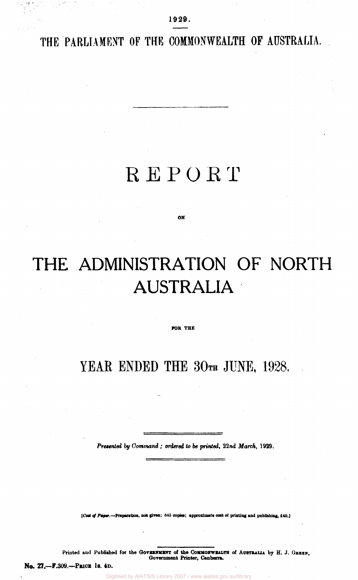THE PARLIAMENT OF THE COMMONWEALTH OF AUSTRALIA.

**1929.** 

# REPORT

**ON** 

# **THE ADMINISTRATION OF NORTH AUSTRALIA**

**FOR THE** 

YEAR ENDED THE 30TH JUNE, 1928.

*Presented by Command; ordered to be printed, 22nd March,* **1929.** 

**[ Cost of** *Paper.***—Preparation, not given; 815 copies; approximate oast of printing and publishing, £40.)** 

Printed and Published for the GOVERNMENT of the COMMONWEALTH of AUSTRALIA by H. J. GREEN, **Government Printer, Canberra.** 

**No. 27.—F.309.—Price 1s. 4D.**